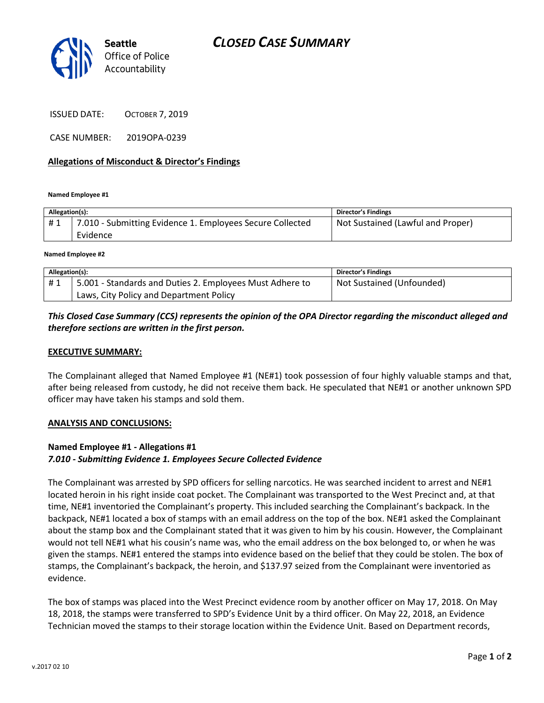

ISSUED DATE: OCTOBER 7, 2019

CASE NUMBER: 2019OPA-0239

#### **Allegations of Misconduct & Director's Findings**

**Named Employee #1**

| Allegation(s): |                                                           | <b>Director's Findings</b>        |
|----------------|-----------------------------------------------------------|-----------------------------------|
| #1             | 7.010 - Submitting Evidence 1. Employees Secure Collected | Not Sustained (Lawful and Proper) |
|                | Evidence                                                  |                                   |
|                |                                                           |                                   |

**Named Employee #2**

| Allegation(s): |                                                          | <b>Director's Findings</b> |
|----------------|----------------------------------------------------------|----------------------------|
| #1             | 5.001 - Standards and Duties 2. Employees Must Adhere to | Not Sustained (Unfounded)  |
|                | Laws, City Policy and Department Policy                  |                            |

## *This Closed Case Summary (CCS) represents the opinion of the OPA Director regarding the misconduct alleged and therefore sections are written in the first person.*

#### **EXECUTIVE SUMMARY:**

The Complainant alleged that Named Employee #1 (NE#1) took possession of four highly valuable stamps and that, after being released from custody, he did not receive them back. He speculated that NE#1 or another unknown SPD officer may have taken his stamps and sold them.

#### **ANALYSIS AND CONCLUSIONS:**

### **Named Employee #1 - Allegations #1** *7.010 - Submitting Evidence 1. Employees Secure Collected Evidence*

The Complainant was arrested by SPD officers for selling narcotics. He was searched incident to arrest and NE#1 located heroin in his right inside coat pocket. The Complainant was transported to the West Precinct and, at that time, NE#1 inventoried the Complainant's property. This included searching the Complainant's backpack. In the backpack, NE#1 located a box of stamps with an email address on the top of the box. NE#1 asked the Complainant about the stamp box and the Complainant stated that it was given to him by his cousin. However, the Complainant would not tell NE#1 what his cousin's name was, who the email address on the box belonged to, or when he was given the stamps. NE#1 entered the stamps into evidence based on the belief that they could be stolen. The box of stamps, the Complainant's backpack, the heroin, and \$137.97 seized from the Complainant were inventoried as evidence.

The box of stamps was placed into the West Precinct evidence room by another officer on May 17, 2018. On May 18, 2018, the stamps were transferred to SPD's Evidence Unit by a third officer. On May 22, 2018, an Evidence Technician moved the stamps to their storage location within the Evidence Unit. Based on Department records,